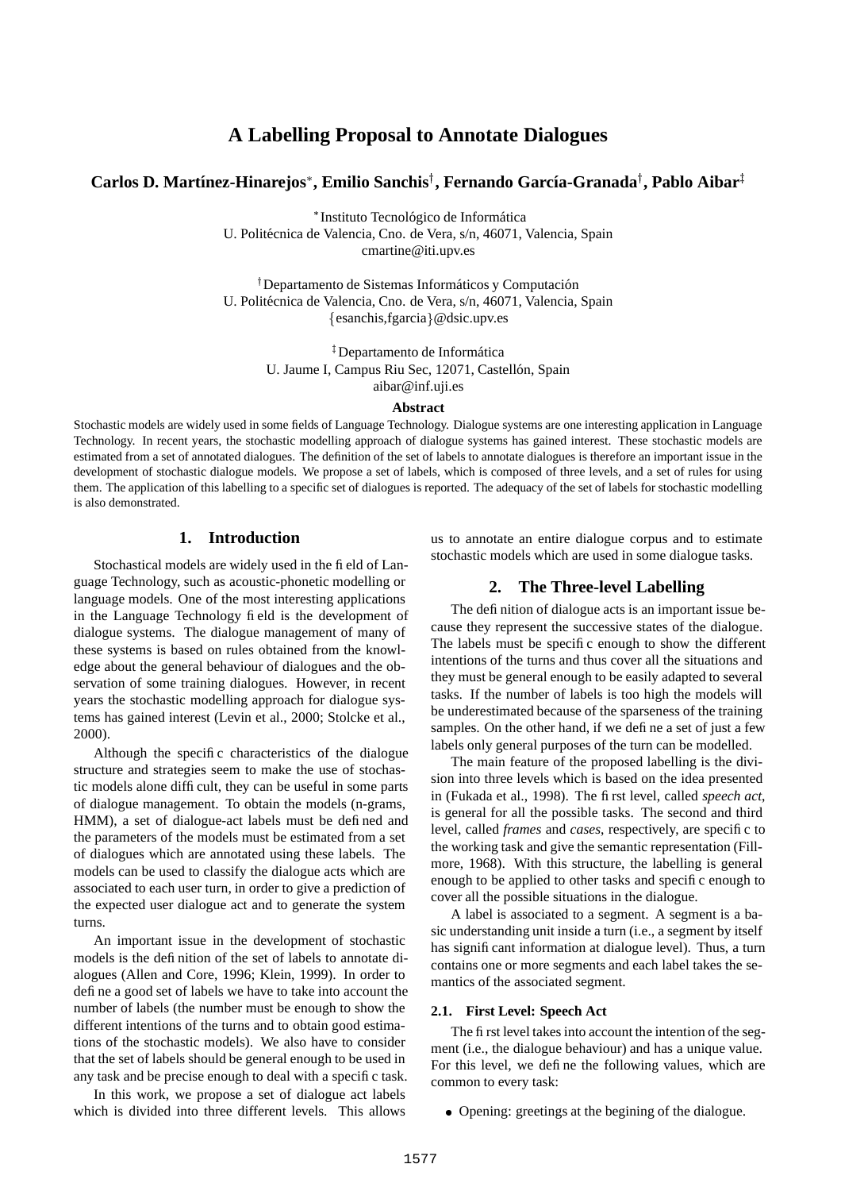# **A Labelling Proposal to Annotate Dialogues**

## **Carlos D. Mart´ınez-Hinarejos , Emilio Sanchis , Fernando Garc´ıa-Granada , Pablo Aibar** -

\* Instituto Tecnológico de Informática

U. Politécnica de Valencia, Cno. de Vera, s/n, 46071, Valencia, Spain cmartine@iti.upv.es

<sup>†</sup> Departamento de Sistemas Informáticos y Computación U. Politécnica de Valencia, Cno. de Vera, s/n, 46071, Valencia, Spain esanchis,fgarcia @dsic.upv.es

> ‡Departamento de Informática U. Jaume I, Campus Riu Sec, 12071, Castellón, Spain aibar@inf.uji.es

#### **Abstract**

Stochastic models are widely used in some fields of Language Technology. Dialogue systems are one interesting application in Language Technology. In recent years, the stochastic modelling approach of dialogue systems has gained interest. These stochastic models are estimated from a set of annotated dialogues. The definition of the set of labels to annotate dialogues is therefore an important issue in the development of stochastic dialogue models. We propose a set of labels, which is composed of three levels, and a set of rules for using them. The application of this labelling to a specific set of dialogues is reported. The adequacy of the set of labels for stochastic modelling is also demonstrated.

## **1. Introduction**

Stochastical models are widely used in the field of Language Technology, such as acoustic-phonetic modelling or language models. One of the most interesting applications in the Language Technology field is the development of dialogue systems. The dialogue management of many of these systems is based on rules obtained from the knowledge about the general behaviour of dialogues and the observation of some training dialogues. However, in recent years the stochastic modelling approach for dialogue systems has gained interest (Levin et al., 2000; Stolcke et al., 2000).

Although the specific characteristics of the dialogue structure and strategies seem to make the use of stochastic models alone difficult, they can be useful in some parts of dialogue management. To obtain the models (n-grams, HMM), a set of dialogue-act labels must be defined and the parameters of the models must be estimated from a set of dialogues which are annotated using these labels. The models can be used to classify the dialogue acts which are associated to each user turn, in order to give a prediction of the expected user dialogue act and to generate the system turns.

An important issue in the development of stochastic models is the definition of the set of labels to annotate dialogues (Allen and Core, 1996; Klein, 1999). In order to define a good set of labels we have to take into account the number of labels (the number must be enough to show the different intentions of the turns and to obtain good estimations of the stochastic models). We also have to consider that the set of labels should be general enough to be used in any task and be precise enough to deal with a specific task.

In this work, we propose a set of dialogue act labels which is divided into three different levels. This allows us to annotate an entire dialogue corpus and to estimate stochastic models which are used in some dialogue tasks.

## **2. The Three-level Labelling**

The definition of dialogue acts is an important issue because they represent the successive states of the dialogue. The labels must be specific enough to show the different intentions of the turns and thus cover all the situations and they must be general enough to be easily adapted to several tasks. If the number of labels is too high the models will be underestimated because of the sparseness of the training samples. On the other hand, if we define a set of just a few labels only general purposes of the turn can be modelled.

The main feature of the proposed labelling is the division into three levels which is based on the idea presented in (Fukada et al., 1998). The first level, called *speech act*, is general for all the possible tasks. The second and third level, called *frames* and *cases*, respectively, are specific to the working task and give the semantic representation (Fillmore, 1968). With this structure, the labelling is general enough to be applied to other tasks and specific enough to cover all the possible situations in the dialogue.

A label is associated to a segment. A segment is a basic understanding unit inside a turn (i.e., a segment by itself has significant information at dialogue level). Thus, a turn contains one or more segments and each label takes the semantics of the associated segment.

#### **2.1. First Level: Speech Act**

The first level takes into account the intention of the segment (i.e., the dialogue behaviour) and has a unique value. For this level, we define the following values, which are common to every task:

Opening: greetings at the begining of the dialogue.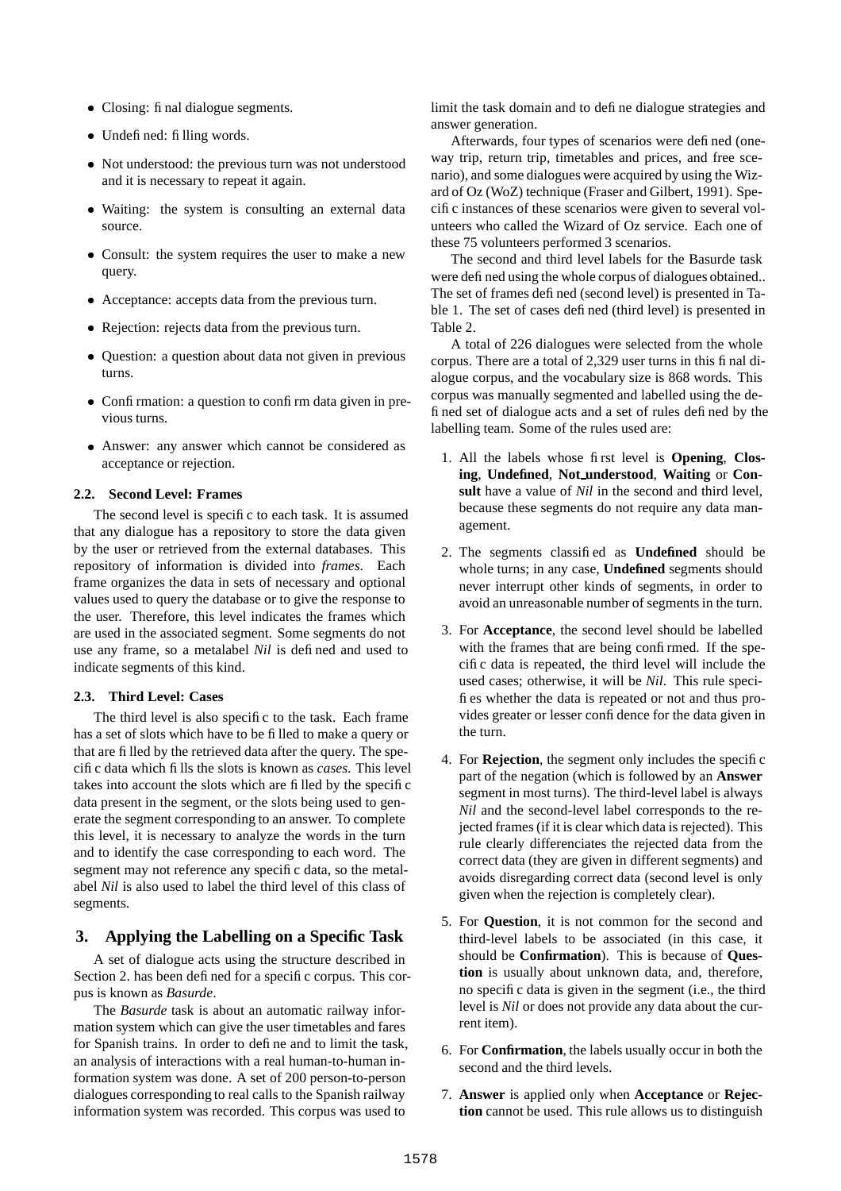- Closing: final dialogue segments.
- Undefined: filling words.
- Not understood: the previous turn was not understood and it is necessary to repeat it again.
- Waiting: the system is consulting an external data source.
- Consult: the system requires the user to make a new query.
- Acceptance: accepts data from the previous turn.
- Rejection: rejects data from the previous turn.
- Question: a question about data not given in previous turns.
- Confirmation: a question to confirm data given in previous turns.
- Answer: any answer which cannot be considered as acceptance or rejection.

### **2.2. Second Level: Frames**

The second level is specific to each task. It is assumed that any dialogue has a repository to store the data given by the user or retrieved from the external databases. This repository of information is divided into *frames*. Each frame organizes the data in sets of necessary and optional values used to query the database or to give the response to the user. Therefore, this level indicates the frames which are used in the associated segment. Some segments do not use any frame, so a metalabel *Nil* is defined and used to indicate segments of this kind.

#### **2.3. Third Level: Cases**

The third level is also specific to the task. Each frame has a set of slots which have to be filled to make a query or that are filled by the retrieved data after the query. The specific data which fills the slots is known as *cases*. This level takes into account the slots which are filled by the specific data present in the segment, or the slots being used to generate the segment corresponding to an answer. To complete this level, it is necessary to analyze the words in the turn and to identify the case corresponding to each word. The segment may not reference any specific data, so the metalabel *Nil* is also used to label the third level of this class of segments.

## **3. Applying the Labelling on a Specific Task**

A set of dialogue acts using the structure described in Section 2. has been defined for a specific corpus. This corpus is known as *Basurde*.

The *Basurde* task is about an automatic railway information system which can give the user timetables and fares for Spanish trains. In order to define and to limit the task, an analysis of interactions with a real human-to-human information system was done. A set of 200 person-to-person dialogues corresponding to real calls to the Spanish railway information system was recorded. This corpus was used to

limit the task domain and to define dialogue strategies and answer generation.

Afterwards, four types of scenarios were defined (oneway trip, return trip, timetables and prices, and free scenario), and some dialogues were acquired by using the Wizard of Oz (WoZ) technique (Fraser and Gilbert, 1991). Specific instances of these scenarios were given to several volunteers who called the Wizard of Oz service. Each one of these 75 volunteers performed 3 scenarios.

The second and third level labels for the Basurde task were defined using the whole corpus of dialogues obtained.. The set of frames defined (second level) is presented in Table 1. The set of cases defined (third level) is presented in Table 2.

A total of 226 dialogues were selected from the whole corpus. There are a total of 2,329 user turns in this final dialogue corpus, and the vocabulary size is 868 words. This corpus was manually segmented and labelled using the defined set of dialogue acts and a set of rules defined by the labelling team. Some of the rules used are:

- 1. All the labels whose first level is **Opening**, **Closing**, **Undefined**, **Not understood**, **Waiting** or **Consult** have a value of *Nil* in the second and third level, because these segments do not require any data management.
- 2. The segments classified as **Undefined** should be whole turns; in any case, **Undefined** segments should never interrupt other kinds of segments, in order to avoid an unreasonable number of segments in the turn.
- 3. For **Acceptance**, the second level should be labelled with the frames that are being confirmed. If the specific data is repeated, the third level will include the used cases; otherwise, it will be *Nil*. This rule specifies whether the data is repeated or not and thus provides greater or lesser confidence for the data given in the turn.
- 4. For **Rejection**, the segment only includes the specific part of the negation (which is followed by an **Answer** segment in most turns). The third-level label is always *Nil* and the second-level label corresponds to the rejected frames (if it is clear which data is rejected). This rule clearly differenciates the rejected data from the correct data (they are given in different segments) and avoids disregarding correct data (second level is only given when the rejection is completely clear).
- 5. For **Question**, it is not common for the second and third-level labels to be associated (in this case, it should be **Confirmation**). This is because of **Question** is usually about unknown data, and, therefore, no specific data is given in the segment (i.e., the third level is *Nil* or does not provide any data about the current item).
- 6. For **Confirmation**, the labels usually occur in both the second and the third levels.
- 7. **Answer** is applied only when **Acceptance** or **Rejection** cannot be used. This rule allows us to distinguish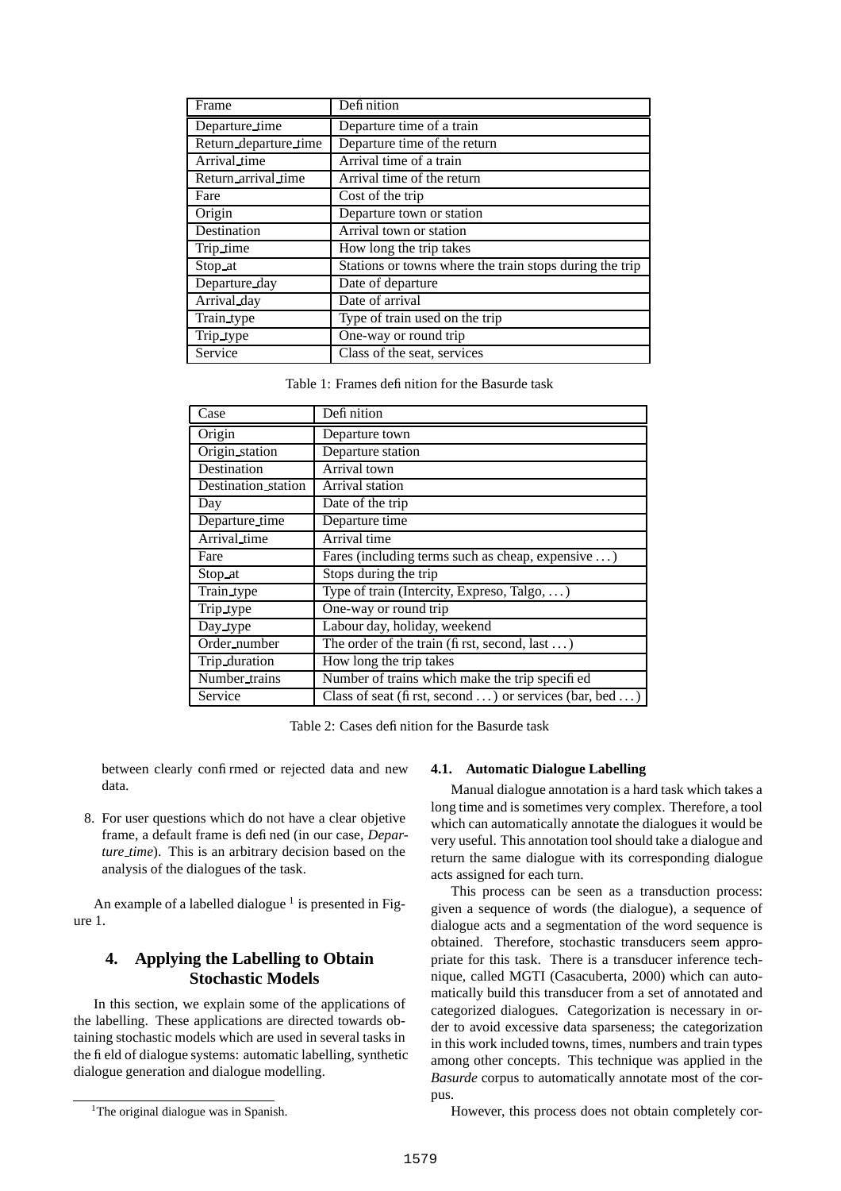| Frame                 | Defi nition                                             |
|-----------------------|---------------------------------------------------------|
| Departure_time        | Departure time of a train                               |
| Return_departure_time | Departure time of the return                            |
| Arrival_time          | Arrival time of a train                                 |
| Return_arrival_time   | Arrival time of the return                              |
| Fare                  | Cost of the trip                                        |
| Origin                | Departure town or station                               |
| Destination           | Arrival town or station                                 |
| Trip_time             | How long the trip takes                                 |
| Stop at               | Stations or towns where the train stops during the trip |
| Departure_day         | Date of departure                                       |
| Arrival_day           | Date of arrival                                         |
| Train_type            | Type of train used on the trip                          |
| Trip_type             | One-way or round trip                                   |
| Service               | Class of the seat, services                             |

Table 1: Frames definition for the Basurde task

| Case                | Defi nition                                            |
|---------------------|--------------------------------------------------------|
| Origin              | Departure town                                         |
| Origin_station      | Departure station                                      |
| Destination         | Arrival town                                           |
| Destination station | Arrival station                                        |
| Day                 | Date of the trip                                       |
| Departure_time      | Departure time                                         |
| Arrival time        | Arrival time                                           |
| Fare                | Fares (including terms such as cheap, expensive )      |
| Stop at             | Stops during the trip                                  |
| Train_type          | Type of train (Intercity, Expreso, Talgo, )            |
| Trip_type           | One-way or round trip                                  |
| Day_type            | Labour day, holiday, weekend                           |
| Order number        | The order of the train (first, second, last )          |
| Trip_duration       | How long the trip takes                                |
| Number_trains       | Number of trains which make the trip specified         |
| Service             | Class of seat (first, second ) or services (bar, bed ) |

Table 2: Cases definition for the Basurde task

between clearly confirmed or rejected data and new data.

8. For user questions which do not have a clear objetive frame, a default frame is defined (in our case, *Departure time*). This is an arbitrary decision based on the analysis of the dialogues of the task.

An example of a labelled dialogue  $<sup>1</sup>$  is presented in Fig-</sup> ure 1.

## **4. Applying the Labelling to Obtain Stochastic Models**

In this section, we explain some of the applications of the labelling. These applications are directed towards obtaining stochastic models which are used in several tasks in the field of dialogue systems: automatic labelling, synthetic dialogue generation and dialogue modelling.

#### **4.1. Automatic Dialogue Labelling**

Manual dialogue annotation is a hard task which takes a long time and is sometimes very complex. Therefore, a tool which can automatically annotate the dialogues it would be very useful. This annotation tool should take a dialogue and return the same dialogue with its corresponding dialogue acts assigned for each turn.

This process can be seen as a transduction process: given a sequence of words (the dialogue), a sequence of dialogue acts and a segmentation of the word sequence is obtained. Therefore, stochastic transducers seem appropriate for this task. There is a transducer inference technique, called MGTI (Casacuberta, 2000) which can automatically build this transducer from a set of annotated and categorized dialogues. Categorization is necessary in order to avoid excessive data sparseness; the categorization in this work included towns, times, numbers and train types among other concepts. This technique was applied in the *Basurde* corpus to automatically annotate most of the corpus.

However, this process does not obtain completely cor-

<sup>&</sup>lt;sup>1</sup>The original dialogue was in Spanish.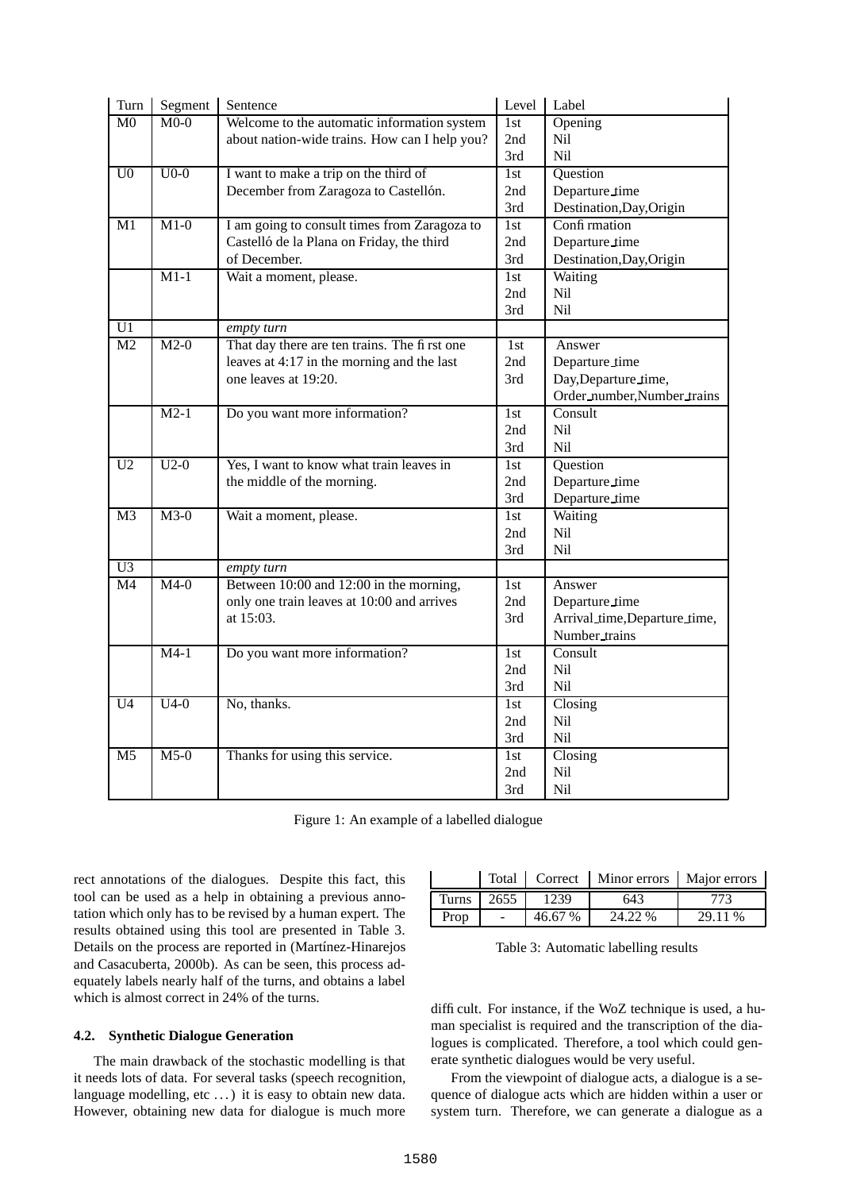| Turn                     | Segment           | Sentence                                      | Level | Label                        |
|--------------------------|-------------------|-----------------------------------------------|-------|------------------------------|
| $\overline{\mathrm{M}0}$ | $M0-0$            | Welcome to the automatic information system   | 1st   | Opening                      |
|                          |                   | about nation-wide trains. How can I help you? | 2nd   | Nil                          |
|                          |                   |                                               | 3rd   | Nil                          |
| U <sub>0</sub>           | $U0-0$            | I want to make a trip on the third of         | 1st   | Question                     |
|                          |                   | December from Zaragoza to Castellón.          | 2nd   | Departure_time               |
|                          |                   |                                               | 3rd   | Destination, Day, Origin     |
| M1                       | $M1-0$            | I am going to consult times from Zaragoza to  | 1st   | Confi rmation                |
|                          |                   | Castelló de la Plana on Friday, the third     | 2nd   | Departure_time               |
|                          |                   | of December.                                  | 3rd   | Destination, Day, Origin     |
|                          | $\overline{M1-1}$ | Wait a moment, please.                        | 1st   | Waiting                      |
|                          |                   |                                               | 2nd   | Nil                          |
|                          |                   |                                               | 3rd   | N <sub>i</sub> l             |
| U1                       |                   | empty turn                                    |       |                              |
| M <sub>2</sub>           | $M2-0$            | That day there are ten trains. The first one  | 1st   | Answer                       |
|                          |                   | leaves at 4:17 in the morning and the last    | 2nd   | Departure_time               |
|                          |                   | one leaves at 19:20.                          | 3rd   | Day, Departure_time,         |
|                          |                   |                                               |       | Order_number,Number_trains   |
|                          | $M2-1$            | Do you want more information?                 | 1st   | Consult                      |
|                          |                   |                                               | 2nd   | Nil                          |
|                          |                   |                                               | 3rd   | N <sub>il</sub>              |
| U <sub>2</sub>           | $U2-0$            | Yes, I want to know what train leaves in      | 1st   | Question                     |
|                          |                   | the middle of the morning.                    | 2nd   | Departure_time               |
|                          |                   |                                               | 3rd   | Departure_time               |
| M <sub>3</sub>           | $M3-0$            | Wait a moment, please.                        | 1st   | Waiting                      |
|                          |                   |                                               | 2nd   | Nil                          |
|                          |                   |                                               | 3rd   | Nil                          |
| $\overline{U}3$          |                   | empty turn                                    |       |                              |
| $\overline{M4}$          | $M4-0$            | Between 10:00 and 12:00 in the morning,       | 1st   | Answer                       |
|                          |                   | only one train leaves at 10:00 and arrives    | 2nd   | Departure_time               |
|                          |                   | at 15:03.                                     | 3rd   | Arrival_time,Departure_time, |
|                          |                   |                                               |       | Number_trains                |
|                          | $M4-1$            | Do you want more information?                 | 1st   | Consult                      |
|                          |                   |                                               | 2nd   | Nil                          |
|                          |                   |                                               | 3rd   | Nil                          |
| U <sub>4</sub>           | $U4-0$            | No, thanks.                                   | 1st   | Closing                      |
|                          |                   |                                               | 2nd   | Nil                          |
|                          |                   |                                               | 3rd   | Nil                          |
| M <sub>5</sub>           | $M5-0$            | Thanks for using this service.                | 1st   | Closing                      |
|                          |                   |                                               | 2nd   | Nil                          |
|                          |                   |                                               | 3rd   | Nil                          |

Figure 1: An example of a labelled dialogue

rect annotations of the dialogues. Despite this fact, this tool can be used as a help in obtaining a previous annotation which only has to be revised by a human expert. The results obtained using this tool are presented in Table 3. Details on the process are reported in (Martínez-Hinarejos and Casacuberta, 2000b). As can be seen, this process adequately labels nearly half of the turns, and obtains a label which is almost correct in 24% of the turns.

#### **4.2. Synthetic Dialogue Generation**

The main drawback of the stochastic modelling is that it needs lots of data. For several tasks (speech recognition, language modelling, etc ...) it is easy to obtain new data. However, obtaining new data for dialogue is much more

|              |      |         | Total   Correct   Minor errors   Major errors |         |
|--------------|------|---------|-----------------------------------------------|---------|
| <b>Turns</b> | 2655 | 1239    | 643                                           | 773     |
| Prop         |      | 46.67 % | 24 22 %                                       | 29.11 % |

Table 3: Automatic labelling results

difficult. For instance, if the WoZ technique is used, a human specialist is required and the transcription of the dialogues is complicated. Therefore, a tool which could generate synthetic dialogues would be very useful.

From the viewpoint of dialogue acts, a dialogue is a sequence of dialogue acts which are hidden within a user or system turn. Therefore, we can generate a dialogue as a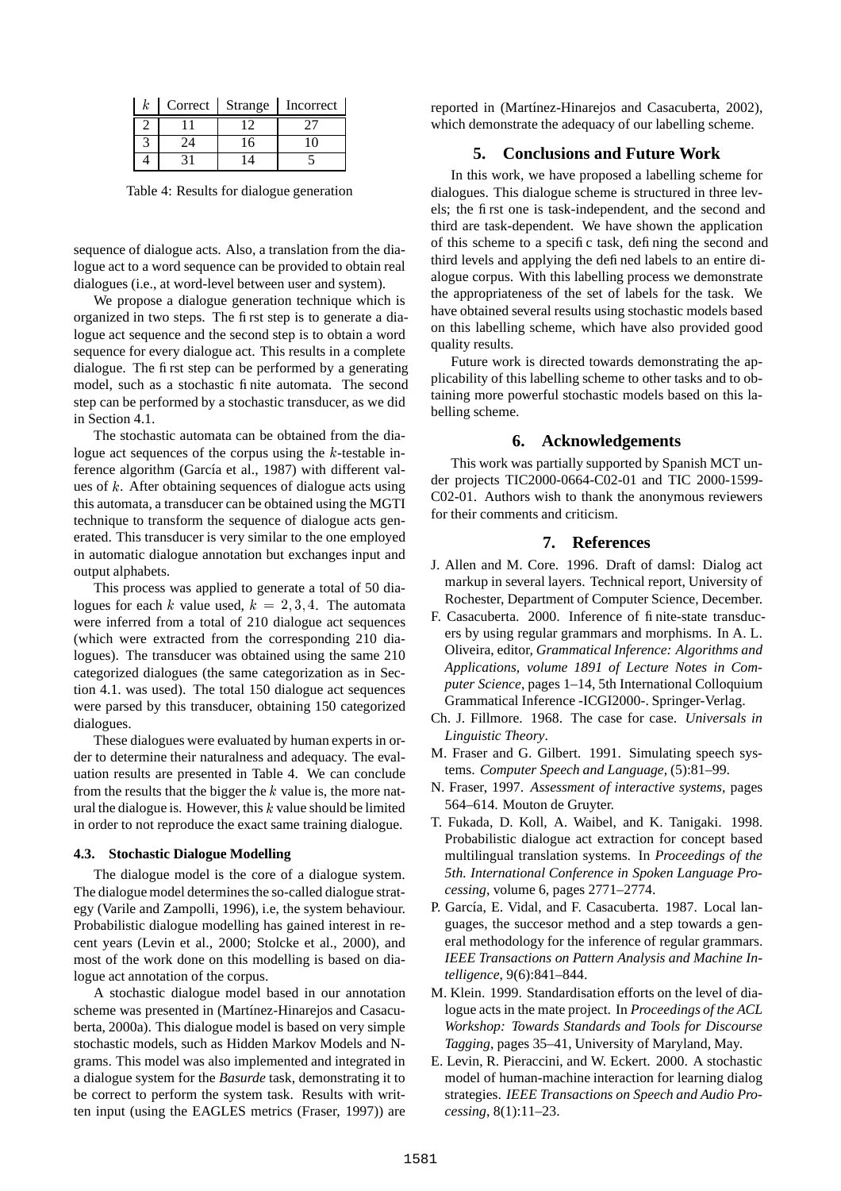| k | Correct Strange | Incorrect |
|---|-----------------|-----------|
|   |                 |           |
|   |                 |           |
|   |                 |           |

Table 4: Results for dialogue generation

sequence of dialogue acts. Also, a translation from the dialogue act to a word sequence can be provided to obtain real dialogues (i.e., at word-level between user and system).

We propose a dialogue generation technique which is organized in two steps. The first step is to generate a dialogue act sequence and the second step is to obtain a word sequence for every dialogue act. This results in a complete dialogue. The first step can be performed by a generating model, such as a stochastic finite automata. The second step can be performed by a stochastic transducer, as we did in Section 4.1.

The stochastic automata can be obtained from the dialogue act sequences of the corpus using the  $k$ -testable inference algorithm (García et al., 1987) with different values of  $k$ . After obtaining sequences of dialogue acts using this automata, a transducer can be obtained using the MGTI technique to transform the sequence of dialogue acts generated. This transducer is very similar to the one employed in automatic dialogue annotation but exchanges input and output alphabets.

This process was applied to generate a total of 50 dialogues for each k value used,  $k = 2, 3, 4$ . The automata were inferred from a total of 210 dialogue act sequences (which were extracted from the corresponding 210 dialogues). The transducer was obtained using the same 210 categorized dialogues (the same categorization as in Section 4.1. was used). The total 150 dialogue act sequences were parsed by this transducer, obtaining 150 categorized dialogues.

These dialogues were evaluated by human experts in order to determine their naturalness and adequacy. The evaluation results are presented in Table 4. We can conclude from the results that the bigger the  $k$  value is, the more natural the dialogue is. However, this  $k$  value should be limited in order to not reproduce the exact same training dialogue.

#### **4.3. Stochastic Dialogue Modelling**

The dialogue model is the core of a dialogue system. The dialogue model determines the so-called dialogue strategy (Varile and Zampolli, 1996), i.e, the system behaviour. Probabilistic dialogue modelling has gained interest in recent years (Levin et al., 2000; Stolcke et al., 2000), and most of the work done on this modelling is based on dialogue act annotation of the corpus.

A stochastic dialogue model based in our annotation scheme was presented in (Martínez-Hinarejos and Casacuberta, 2000a). This dialogue model is based on very simple stochastic models, such as Hidden Markov Models and Ngrams. This model was also implemented and integrated in a dialogue system for the *Basurde* task, demonstrating it to be correct to perform the system task. Results with written input (using the EAGLES metrics (Fraser, 1997)) are reported in (Martínez-Hinarejos and Casacuberta, 2002), which demonstrate the adequacy of our labelling scheme.

## **5. Conclusions and Future Work**

In this work, we have proposed a labelling scheme for dialogues. This dialogue scheme is structured in three levels; the first one is task-independent, and the second and third are task-dependent. We have shown the application of this scheme to a specific task, defining the second and third levels and applying the defined labels to an entire dialogue corpus. With this labelling process we demonstrate the appropriateness of the set of labels for the task. We have obtained several results using stochastic models based on this labelling scheme, which have also provided good quality results.

Future work is directed towards demonstrating the applicability of this labelling scheme to other tasks and to obtaining more powerful stochastic models based on this labelling scheme.

## **6. Acknowledgements**

This work was partially supported by Spanish MCT under projects TIC2000-0664-C02-01 and TIC 2000-1599- C02-01. Authors wish to thank the anonymous reviewers for their comments and criticism.

#### **7. References**

- J. Allen and M. Core. 1996. Draft of damsl: Dialog act markup in several layers. Technical report, University of Rochester, Department of Computer Science, December.
- F. Casacuberta. 2000. Inference of finite-state transducers by using regular grammars and morphisms. In A. L. Oliveira, editor, *Grammatical Inference: Algorithms and Applications, volume 1891 of Lecture Notes in Computer Science*, pages 1–14, 5th International Colloquium Grammatical Inference -ICGI2000-. Springer-Verlag.
- Ch. J. Fillmore. 1968. The case for case. *Universals in Linguistic Theory*.
- M. Fraser and G. Gilbert. 1991. Simulating speech systems. *Computer Speech and Language*, (5):81–99.
- N. Fraser, 1997. *Assessment of interactive systems*, pages 564–614. Mouton de Gruyter.
- T. Fukada, D. Koll, A. Waibel, and K. Tanigaki. 1998. Probabilistic dialogue act extraction for concept based multilingual translation systems. In *Proceedings of the 5th. International Conference in Spoken Language Processing*, volume 6, pages 2771–2774.
- P. García, E. Vidal, and F. Casacuberta. 1987. Local languages, the succesor method and a step towards a general methodology for the inference of regular grammars. *IEEE Transactions on Pattern Analysis and Machine Intelligence*, 9(6):841–844.
- M. Klein. 1999. Standardisation efforts on the level of dialogue acts in the mate project. In *Proceedings of the ACL Workshop: Towards Standards and Tools for Discourse Tagging*, pages 35–41, University of Maryland, May.
- E. Levin, R. Pieraccini, and W. Eckert. 2000. A stochastic model of human-machine interaction for learning dialog strategies. *IEEE Transactions on Speech and Audio Processing*, 8(1):11–23.